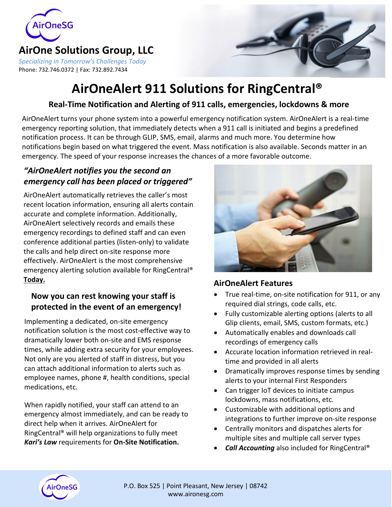

### **AirOne Solutions Group, LLC**

*Specializing in Tomorrow's Challenges Today* Phone: 732.746.0372 | Fax: 732.892.7434



# **AirOneAlert 911 Solutions for RingCentral®**

### **Real-Time Notification and Alerting of 911 calls, emergencies, lockdowns & more**

AirOneAlert turns your phone system into a powerful emergency notification system. AirOneAlert is a real-time emergency reporting solution, that immediately detects when a 911 call is initiated and begins a predefined notification process. It can be through GLIP, SMS, email, alarms and much more. You determine how notifications begin based on what triggered the event. Mass notification is also available. Seconds matter in an emergency. The speed of your response increases the chances of a more favorable outcome.

#### *"AirOneAlert notifies you the second an emergency call has been placed or triggered"*

AirOneAlert automatically retrieves the caller's most recent location information, ensuring all alerts contain accurate and complete information. Additionally, AirOneAlert selectively records and emails these emergency recordings to defined staff and can even conference additional parties (listen-only) to validate the calls and help direct on-site response more effectively. AirOneAlert is the most comprehensive emergency alerting solution available for RingCentral® **Today.**

#### **Now you can rest knowing your staff is protected in the event of an emergency!**

Implementing a dedicated, on-site emergency notification solution is the most cost-effective way to dramatically lower both on-site and EMS response times, while adding extra security for your employees. Not only are you alerted of staff in distress, but you can attach additional information to alerts such as employee names, phone #, health conditions, special medications, etc.

When rapidly notified, your staff can attend to an emergency almost immediately, and can be ready to direct help when it arrives. AirOneAlert for RingCentral® will help organizations to fully meet *Kari's Law* requirements for **On-Site Notification.**



#### **AirOneAlert Features**

- True real-time, on-site notification for 911, or any required dial strings, code calls, etc.
- Fully customizable alerting options (alerts to all Glip clients, email, SMS, custom formats, etc.)
- Automatically enables and downloads call recordings of emergency calls
- Accurate location information retrieved in realtime and provided in all alerts
- Dramatically improves response times by sending alerts to your internal First Responders
- Can trigger IoT devices to initiate campus lockdowns, mass notifications, etc.
- Customizable with additional options and integrations to further improve on-site response
- Centrally monitors and dispatches alerts for multiple sites and multiple call server types
- *Call Accounting* also included for RingCentral®